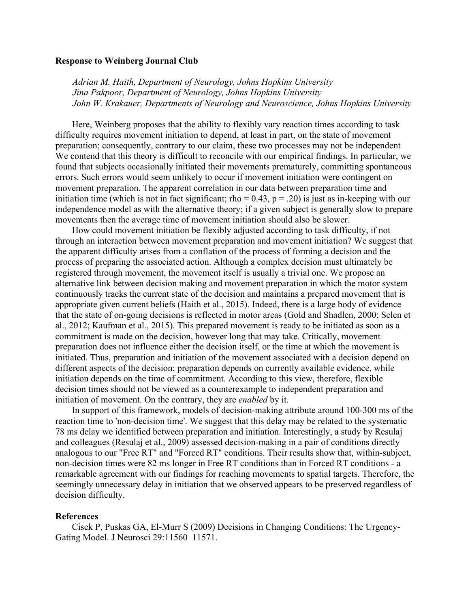## **Response to Weinberg Journal Club**

*Adrian M. Haith, Department of Neurology, Johns Hopkins University Jina Pakpoor, Department of Neurology, Johns Hopkins University John W. Krakauer, Departments of Neurology and Neuroscience, Johns Hopkins University*

Here, Weinberg proposes that the ability to flexibly vary reaction times according to task difficulty requires movement initiation to depend, at least in part, on the state of movement preparation; consequently, contrary to our claim, these two processes may not be independent We contend that this theory is difficult to reconcile with our empirical findings. In particular, we found that subjects occasionally initiated their movements prematurely, committing spontaneous errors. Such errors would seem unlikely to occur if movement initiation were contingent on movement preparation. The apparent correlation in our data between preparation time and initiation time (which is not in fact significant; rho =  $0.43$ , p =  $0.20$ ) is just as in-keeping with our independence model as with the alternative theory; if a given subject is generally slow to prepare movements then the average time of movement initiation should also be slower.

How could movement initiation be flexibly adjusted according to task difficulty, if not through an interaction between movement preparation and movement initiation? We suggest that the apparent difficulty arises from a conflation of the process of forming a decision and the process of preparing the associated action. Although a complex decision must ultimately be registered through movement, the movement itself is usually a trivial one. We propose an alternative link between decision making and movement preparation in which the motor system continuously tracks the current state of the decision and maintains a prepared movement that is appropriate given current beliefs (Haith et al., 2015). Indeed, there is a large body of evidence that the state of on-going decisions is reflected in motor areas (Gold and Shadlen, 2000; Selen et al., 2012; Kaufman et al., 2015). This prepared movement is ready to be initiated as soon as a commitment is made on the decision, however long that may take. Critically, movement preparation does not influence either the decision itself, or the time at which the movement is initiated. Thus, preparation and initiation of the movement associated with a decision depend on different aspects of the decision; preparation depends on currently available evidence, while initiation depends on the time of commitment. According to this view, therefore, flexible decision times should not be viewed as a counterexample to independent preparation and initiation of movement. On the contrary, they are *enabled* by it.

In support of this framework, models of decision-making attribute around 100-300 ms of the reaction time to 'non-decision time'. We suggest that this delay may be related to the systematic 78 ms delay we identified between preparation and initiation. Interestingly, a study by Resulaj and colleagues (Resulaj et al., 2009) assessed decision-making in a pair of conditions directly analogous to our "Free RT" and "Forced RT" conditions. Their results show that, within-subject, non-decision times were 82 ms longer in Free RT conditions than in Forced RT conditions - a remarkable agreement with our findings for reaching movements to spatial targets. Therefore, the seemingly unnecessary delay in initiation that we observed appears to be preserved regardless of decision difficulty.

## **References**

Cisek P, Puskas GA, El-Murr S (2009) Decisions in Changing Conditions: The Urgency-Gating Model. J Neurosci 29:11560–11571.